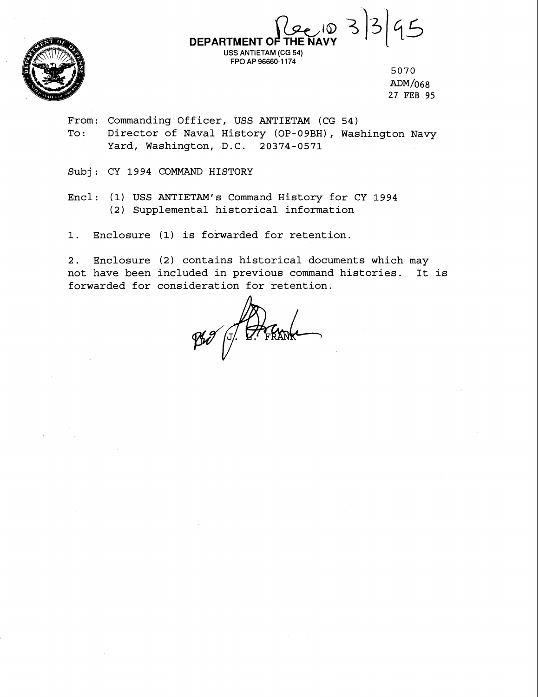

**DEPARTMENT OF**  $\frac{1}{2}$ **THE NAVY**   $|45$ **USS** ANTIETAM (CG 54)

5070 ADM/068 27 FEB 95

From: Commanding Officer, USS ANTIETAM (CG 54) To: Director of Naval History (OP-09BH), Washington Navy Yard, Washington, D.C. 20374-0571

FPO AP 96660-1 174

Subj: CY 1994 COMMAND HISTORY

Encl: (1) USS ANTIETAM's Command History for CY 1994 (2) Supplemental historical information

1. Enclosure (1) is forwarded for retention.

2. Enclosure (2) contains historical documents which may not have been included in previous command histories. It is forwarded for consideration for retention.

Pho (J. Frank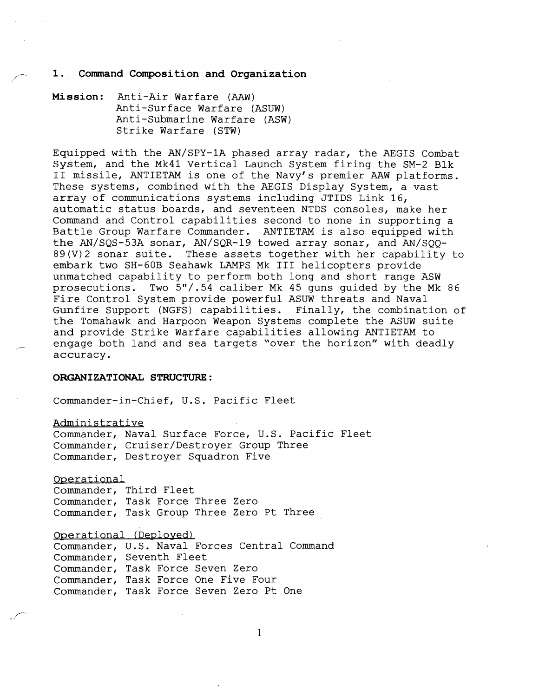#### 1. Command Composition and Organization

**Mission:** Anti-Air Warfare (AAW) Anti-Surface Warfare (ASUW) Anti-Submarine Warfare (ASW) Strike Warfare (STW)

Equipped with the AN/SPY-1A phased array radar, the AEGIS Combat System, and the Mk41 Vertical Launch System firing the SM-2 Blk I1 missile, ANTIETAM is one of the Navy's premier AAW platforms. These systems, combined with the AEGIS Display System, a vast array of communications systems including JTIDS Link 16, automatic status boards, and seventeen NTDS consoles, make her Command and Control capabilities second to none in supporting a Battle Group Warfare Commander. ANTIETAM is also equipped with the AN/SQS-53A sonar, AN/SQR-19 towed array sonar, and AN/SQQ-89(V)2 sonar suite. These assets together with her capability to embark two SH-GOB Seahawk LAMPS Mk I11 helicopters provide unmatched capability to perform both long and short range ASW prosecutions. Two 5"/.54 caliber Mk 45 guns guided by the Mk 86 Fire Control System provide powerful ASUW threats and Naval Gunfire Support (NGFS) capabilities. Finally, the combination of the Tomahawk and Harpoon Weapon Systems complete the ASUW suite and provide Strike Warfare capabilities allowing ANTIETAM to engage both land and sea targets "over the horizon" with deadly accuracy.

#### **ORGANIZATIONAL STRUCTURE** :

Commander-in-Chief, U.S. Pacific Fleet

Administrative

Commander, Naval Surface Force, U.S. Pacific Fleet Commander, Cruiser/Destroyer Group Three Commander, Destroyer Squadron Five

Operational

Commander, Third Fleet Commander, Task Force Three Zero Commander, Task Group Three Zero Pt Three

Operational (Deployed)

Commander, U.S. Naval Forces Central Command Commander, Seventh Fleet Commander, Task Force Seven Zero Commander, Task Force One Five Four Commander, Task Force Seven Zero Pt One

 $\mathbf{1}$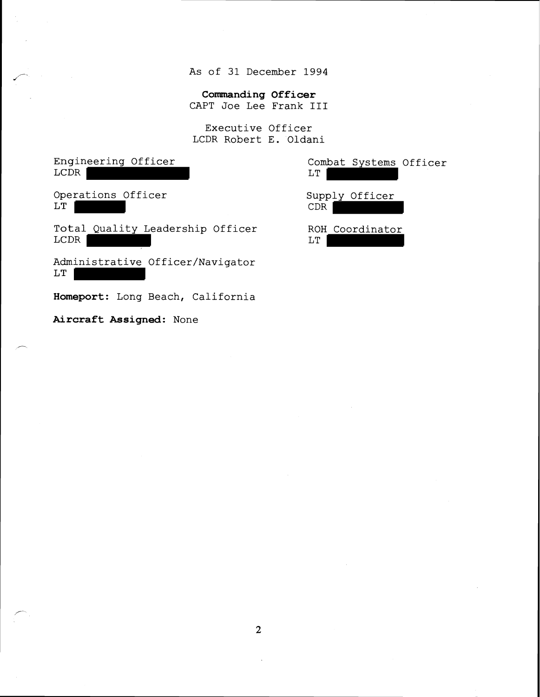As of 31 December 1994

**Commanding Officer** 

CAPT Joe Lee Frank **I11** 

Executive Officer LCDR Robert E. Oldani

Engineering Officer LCDR | Operations Officer LT Total Quality Leadership Officer ROH Coordinator<br>
LCDR
L  $LCDR$ Administrative Officer/Navigator LT

**Homeport:** Long Beach, California

**Aircraft Assigned:** None

Combat Systems Officer LT | Supply Officer CDR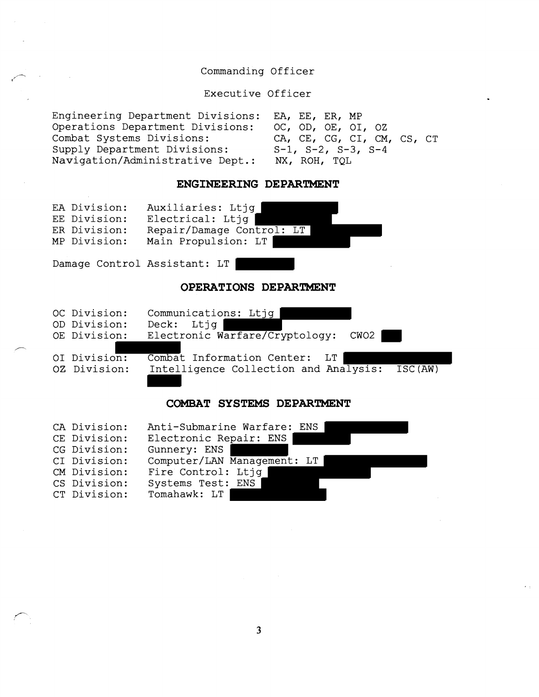# Commanding Officer

Executive Officer

 $\bullet$ 

 $\epsilon_{A}$  .

| Engineering Department Divisions: EA, EE, ER, MP |                               |
|--------------------------------------------------|-------------------------------|
| Operations Department Divisions:                 | OC, OD, OE, OI, OZ            |
| Combat Systems Divisions:                        | CA, CE, CG, CI, CM, CS, CT    |
| Supply Department Divisions:                     | $S-1$ , $S-2$ , $S-3$ , $S-4$ |
| Navigation/Administrative Dept.:                 | NX, ROH, TOL                  |

 $\mathcal{A}(\mathcal{A})$  and  $\mathcal{A}(\mathcal{A})$ 

 $\sim 10^7$ 

### **ENGINEERING DEPARTMENT**

| EA Division:<br>EE Division:<br>ER Division:<br>MP Division: | Auxiliaries: Ltjq<br>Electrical: Ltjq<br>Repair/Damage Control: LT<br>Main Propulsion: LT                       |
|--------------------------------------------------------------|-----------------------------------------------------------------------------------------------------------------|
| Damage Control Assistant: LT                                 |                                                                                                                 |
|                                                              | OPERATIONS DEPARTMENT                                                                                           |
| OC Division:<br>OD Division:<br>OE Division:                 | Communications: Ltjq<br>Ltjq<br>$\rm{Deck:}$<br>Electronic Warfare/Cryptology:<br>CWO <sub>2</sub>              |
| OI Division:<br>OZ Division:                                 | Combat Information Center:<br>LT<br>Intelligence Collection and Analysis:<br>$\overline{\text{ISC}}(\text{AW})$ |
|                                                              |                                                                                                                 |

### **COMBAT SYSTEMS DEPARTMENT**

| CA Division: | Anti-Submarine Warfare: ENS |
|--------------|-----------------------------|
| CE Division: | Electronic Repair: ENS      |
| CG Division: | Gunnery: ENS                |
| CI Division: | Computer/LAN Management: LT |
| CM Division: | Fire Control: Ltjq          |
| CS Division: | Systems Test: ENS           |
| CT Division: | Tomahawk: LT                |

 $\overline{\mathbf{3}}$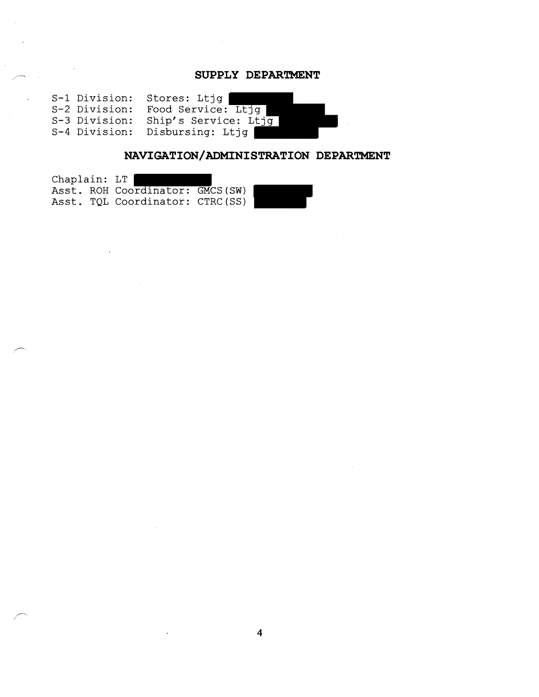## - **SUPPLY DEPARTMENT**

S-1 Division: Stores: Ltjg S-2 Division: Food Service: Ltjg S-3 Division: Ship's Service: Ltjg S-4 Division: Disbursing: Ltjg

## **NAVIGATION/ADMINISTRATION DEPARTMENT**

| Chaplain: LT |  |                                  |  |
|--------------|--|----------------------------------|--|
|              |  | Asst. ROH Coordinator: GMCS (SW) |  |
|              |  | Asst. TQL Coordinator: CTRC(SS)  |  |

 $\overline{4}$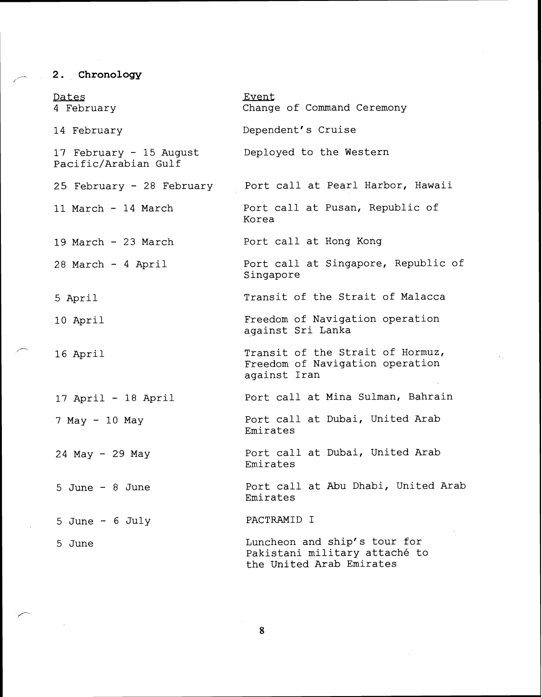# **Chronology**

| Dates<br>4 February                             | Event<br>Change of Command Ceremony                                                       |
|-------------------------------------------------|-------------------------------------------------------------------------------------------|
| 14 February                                     | Dependent's Cruise                                                                        |
| 17 February - 15 August<br>Pacific/Arabian Gulf | Deployed to the Western                                                                   |
| 25 February - 28 February                       | Port call at Pearl Harbor, Hawaii                                                         |
| 11 March - 14 March                             | Port call at Pusan, Republic of<br>Korea                                                  |
| 19 March - 23 March                             | Port call at Hong Kong                                                                    |
| 28 March - 4 April                              | Port call at Singapore, Republic of<br>Singapore                                          |
| 5 April                                         | Transit of the Strait of Malacca                                                          |
| 10 April                                        | Freedom of Navigation operation<br>against Sri Lanka                                      |
| 16 April                                        | Transit of the Strait of Hormuz,<br>Freedom of Navigation operation<br>against Iran       |
| $17$ April - 18 April                           | Port call at Mina Sulman, Bahrain                                                         |
| 7 May - 10 May                                  | Port call at Dubai, United Arab<br>Emirates                                               |
| 24 May - 29 May                                 | Port call at Dubai, United Arab<br>Emirates                                               |
| 5 June $-$ 8 June                               | Port call at Abu Dhabi, United Arab<br>Emirates                                           |
| 5 June $-$ 6 July                               | PACTRAMID I                                                                               |
| 5 June                                          | Luncheon and ship's tour for<br>Pakistani military attaché to<br>the United Arab Emirates |

 $\bf 8$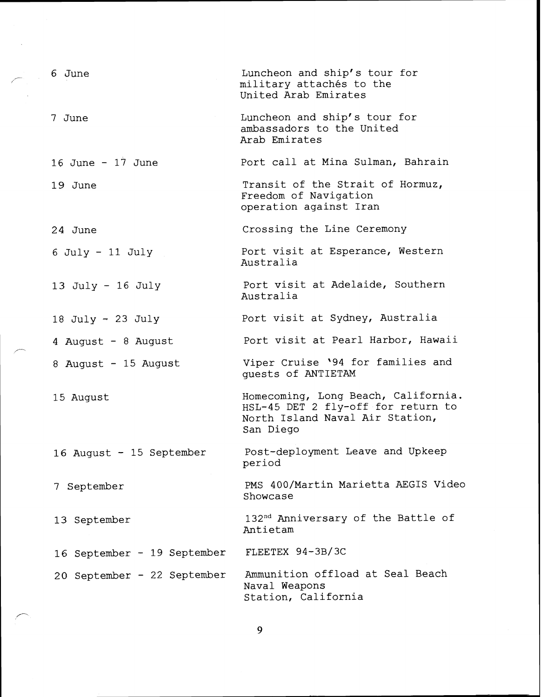| 6 June                      | Luncheon and ship's tour for<br>military attachés to the<br>United Arab Emirates                                          |
|-----------------------------|---------------------------------------------------------------------------------------------------------------------------|
| 7 June                      | Luncheon and ship's tour for<br>ambassadors to the United<br>Arab Emirates                                                |
| 16 June - $17$ June         | Port call at Mina Sulman, Bahrain                                                                                         |
| 19 June                     | Transit of the Strait of Hormuz,<br>Freedom of Navigation<br>operation against Iran                                       |
| 24 June                     | Crossing the Line Ceremony                                                                                                |
| $6$ July - 11 July          | Port visit at Esperance, Western<br>Australia                                                                             |
| 13 July - 16 July           | Port visit at Adelaide, Southern<br>Australia                                                                             |
| 18 July - 23 July           | Port visit at Sydney, Australia                                                                                           |
| 4 August - 8 August         | Port visit at Pearl Harbor, Hawaii                                                                                        |
| 8 August - 15 August        | Viper Cruise '94 for families and<br>quests of ANTIETAM                                                                   |
| 15 August                   | Homecoming, Long Beach, California.<br>HSL-45 DET 2 fly-off for return to<br>North Island Naval Air Station,<br>San Diego |
| 16 August - 15 September    | Post-deployment Leave and Upkeep<br>period                                                                                |
| 7 September                 | PMS 400/Martin Marietta AEGIS Video<br>Showcase                                                                           |
| 13 September                | 132 <sup>nd</sup> Anniversary of the Battle of<br>Antietam                                                                |
| 16 September - 19 September | FLEETEX 94-3B/3C                                                                                                          |
| 20 September - 22 September | Ammunition offload at Seal Beach<br>Naval Weapons<br>Station, California                                                  |

 $\overline{9}$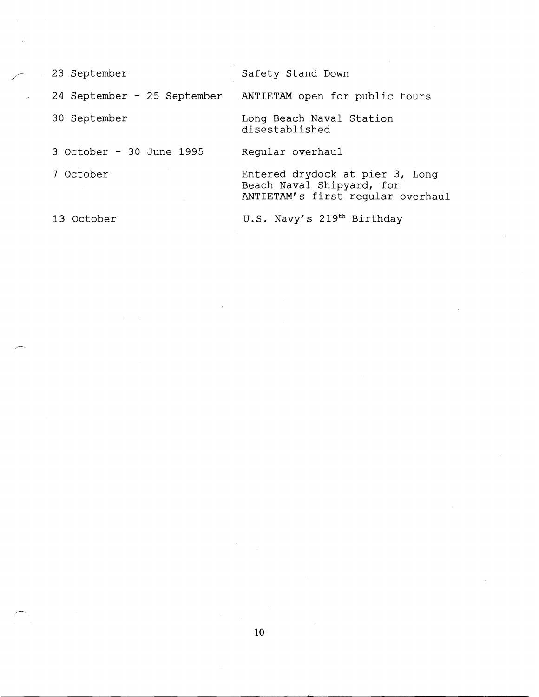| 23 September                | Safety Stand Down                                                                                 |
|-----------------------------|---------------------------------------------------------------------------------------------------|
| 24 September - 25 September | ANTIETAM open for public tours                                                                    |
| 30 September                | Long Beach Naval Station<br>disestablished                                                        |
| 3 October - 30 June 1995    | Regular overhaul                                                                                  |
| 7 October                   | Entered drydock at pier 3, Long<br>Beach Naval Shipyard, for<br>ANTIETAM's first regular overhaul |
| 13 October                  | U.S. Navy's 219th Birthday                                                                        |

l.

 $\bar{\alpha}$ 

J.